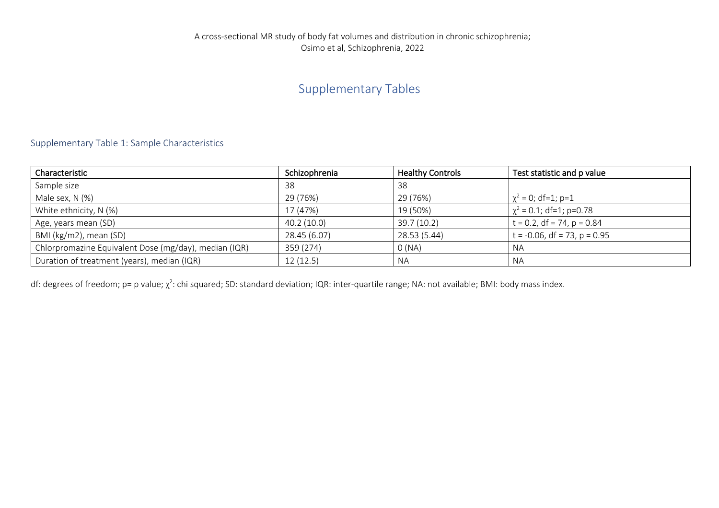## Supplementary Tables

## Supplementary Table 1: Sample Characteristics

| Characteristic                                        | Schizophrenia | <b>Healthy Controls</b> | Test statistic and p value      |
|-------------------------------------------------------|---------------|-------------------------|---------------------------------|
| Sample size                                           | 38            | 38                      |                                 |
| Male sex, N (%)                                       | 29 (76%)      | 29 (76%)                | $\chi^2$ = 0; df=1; p=1         |
| White ethnicity, N (%)                                | 17 (47%)      | 19 (50%)                | $\chi^2$ = 0.1; df=1; p=0.78    |
| Age, years mean (SD)                                  | 40.2(10.0)    | 39.7 (10.2)             | $t = 0.2$ , df = 74, p = 0.84   |
| BMI (kg/m2), mean (SD)                                | 28.45 (6.07)  | 28.53 (5.44)            | $t = -0.06$ , df = 73, p = 0.95 |
| Chlorpromazine Equivalent Dose (mg/day), median (IQR) | 359 (274)     | O(NA)                   | <b>NA</b>                       |
| Duration of treatment (years), median (IQR)           | 12(12.5)      | NA.                     | NA                              |

df: degrees of freedom; p= p value;  $\chi^2$ : chi squared; SD: standard deviation; IQR: inter-quartile range; NA: not available; BMI: body mass index.